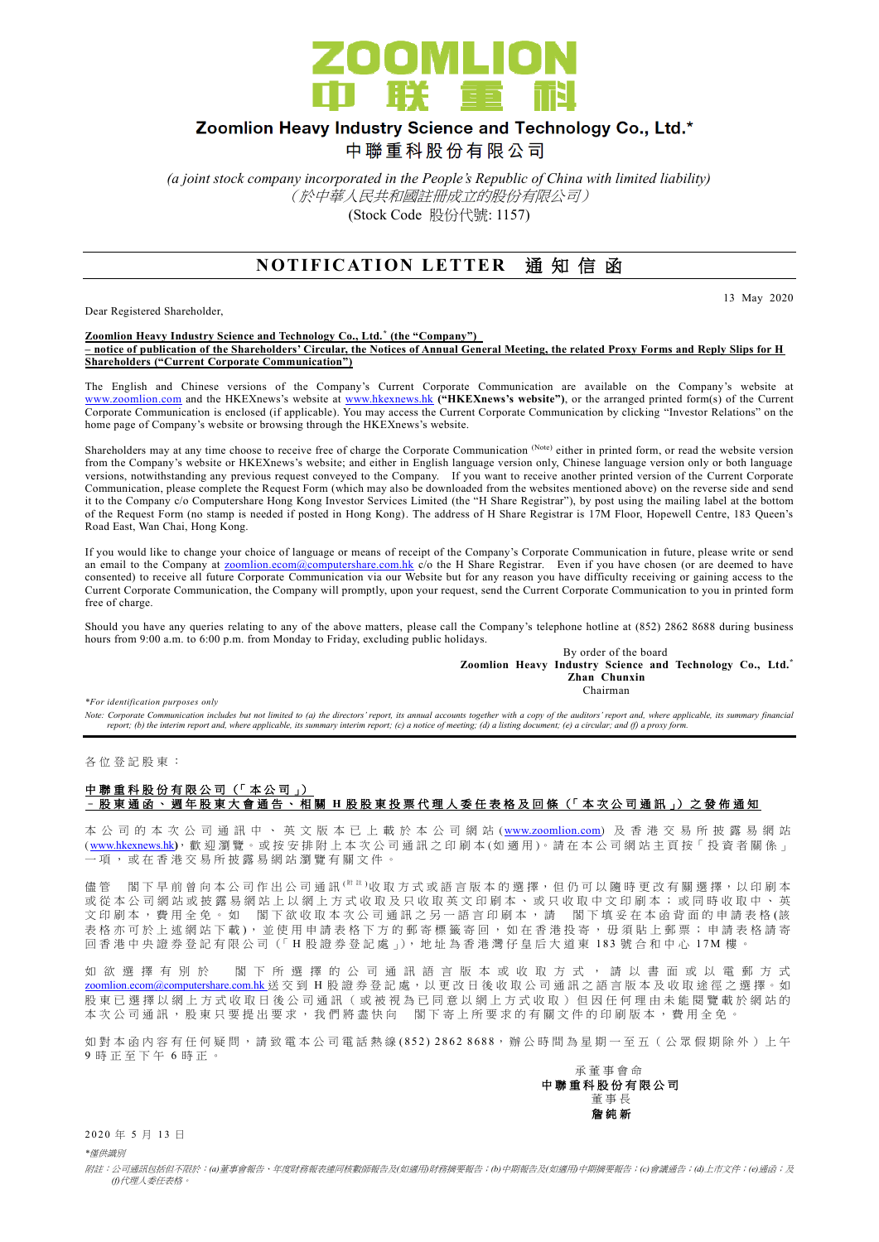

# Zoomlion Heavy Industry Science and Technology Co., Ltd.\*

中聯重科股份有限公司

*(a joint stock company incorporated in the People's Republic of China with limited liability)* (於中華人民共和國註冊成立的股份有限公司) (Stock Code 股份代號: 1157)

## **NOTIFICATION LETTER 通知信函**

Dear Registered Shareholder,

13 May 2020

#### **Zoomlion Heavy Industry Science and Technology Co., Ltd. \* (the "Company") – notice of publication of the Shareholders' Circular, the Notices of Annual General Meeting, the related Proxy Forms and Reply Slips for H Shareholders ("Current Corporate Communication")**

The English and Chinese versions of the Company's Current Corporate Communication are available on the Company's website at [www.zoomlion.com](http://www.zoomlion.com/) and the HKEXnews's website at [www.hkexnews.hk](http://www.hkexnews.hk/) **("HKEXnews's website")**, or the arranged printed form(s) of the Current Corporate Communication is enclosed (if applicable). You may access the Current Corporate Communication by clicking "Investor Relations" on the home page of Company's website or browsing through the HKEXnews's website.

Shareholders may at any time choose to receive free of charge the Corporate Communication (Note) either in printed form, or read the website version from the Company's website or HKEXnews's website; and either in English language version only, Chinese language version only or both language versions, notwithstanding any previous request conveyed to the Company. If you want to receive another printed version of the Current Corporate Communication, please complete the Request Form (which may also be downloaded from the websites mentioned above) on the reverse side and send it to the Company c/o Computershare Hong Kong Investor Services Limited (the "H Share Registrar"), by post using the mailing label at the bottom of the Request Form (no stamp is needed if posted in Hong Kong). The address of H Share Registrar is 17M Floor, Hopewell Centre, 183 Queen's Road East, Wan Chai, Hong Kong.

If you would like to change your choice of language or means of receipt of the Company's Corporate Communication in future, please write or send an email to the Company at [zoomlion.ecom@computershare.com.hk](file://///oceania/hongkong/Data/G13GROUP/Project/Zoomlion/eComm/eComm%202013%20Annual/zoomlion.ecom@computershare.com.hk) c/o the H Share Registrar. Even if you have chosen (or are deemed to have consented) to receive all future Corporate Communication via our Website but for any reason you have difficulty receiving or gaining access to the Current Corporate Communication, the Company will promptly, upon your request, send the Current Corporate Communication to you in printed form free of charge.

Should you have any queries relating to any of the above matters, please call the Company's telephone hotline at (852) 2862 8688 during business hours from 9:00 a.m. to 6:00 p.m. from Monday to Friday, excluding public holidays.

By order of the board **Zoomlion Heavy Industry Science and Technology Co., Ltd.\* Zhan Chunxin** Chairman

*\*For identification purposes only* 

*Note: Corporate Communication includes but not limited to (a) the directors' report, its annual accounts together with a copy of the auditors' report and, where applicable, its summary financial report; (b) the interim report and, where applicable, its summary interim report; (c) a notice of meeting; (d) a listing document; (e) a circular; and (f) a proxy form.*

各 位 登 記 股 東 :

### 中聯重科股份有限公司 (「本公司」) – 股東通函、週年股東大會通告、相關 **H** 股 股 東 投 票 代 理 人 委 任 表 格 及 回 條 (「 本 次 公司通訊 」) 之 發 佈 通 知

本 公 司 的 本 次 公 司 通 訊 中 、 英 文 版 本 已 上 載 於 本 公 司 網 站 ([www.zoomlion.com](http://www.zoomlion.com/)) 及 香 港 交 易 所 披 露 易 網 站 ( [www.hkexnews.hk](http://www.hkexnews.hk/)**)**, 歡 迎 瀏 覽 。或 按 安 排 附 上 本 次 公 司 通 訊 之印刷本 (如適用 )。 請 在 本 公 司 網 站 主 頁 按「 投 資 者 關 係 」 一項, 或 在 香 港 交 易 所 披 露 易 網 站 瀏 覽 有 關 文 件 。

儘管 閣下 早 前 曾 向 本 公 司 作 出 公 司 通 訊 <sup>( 附 註</sup> )收 取 方 式 或 語 言 版 本 的 選 擇, 但 仍 可 以 隨 時 更 改 有 關 選 擇, 以 印 刷 本 或從本公司網站或披露易網站上以網上方式收取及只收取英文印刷本、或只收取中文印刷本;或同時收取中、英 文印刷本,費用全免。如 閣下欲收取本次公司通訊之另一語言印刷本,請 閣下填妥在本函背面的申請表格(該 表格亦可於上述網站下載), 並使用申請表格下方的郵寄標籤寄回, 如在香港投寄, 毋須貼上郵票; 申請表格請寄 回香港中央證券登記有限公司(「H股證券登記處」), 地址為香港灣仔皇后大道東 183號合和中心 17M 樓

如 欲 選 擇 有 別 於 閣 下 所 選 擇 的 公 司 通 訊 語 言 版 本 或 收 取 方 式 , 請 以 書 面 或 以 電 郵 方 式 [zoomlion.ecom@computershare.com.hk](mailto:zoomlion.ecom@computershare.com.hk) 送 交 到 H 股 證 券 登 記 處, 以 更 改 日 後 收 取 公 司 通 訊 之 語 言 版 本 及 收 取 途 徑 之 選 擇 。 如 股 東 已 選 擇 以 網 上 方 式 收 取 日 後 公 司 通 訊 ( 或 被 視 為 已 同 意 以 網 上 方 式 收 取 ) 但 因 任 何 理 由 未 能 閲 覽 載 於 網 站 的 本次公司通訊,股東只要提出要求,我們將盡快向 閣下寄上所要求的有關文件的印刷版本,費用全免。

如對本函內容有任何疑問,請致電本公司電話熱線(852) 2862 8688,辦公時間為星期一至五 (公眾假期除外)上午 9 時正至下午 6 時 正 。

承董事會命 中 聯 重 科 股 份 有 限 公 司 董事長 詹 純 新

2020年5月13日

*\**僅供識別

附註:公司通訊包括但不限於:*(a)*董事會報告、年度財務報表連同核數師報告及*(*如適用*)*財務摘要報告;*(b)*中期報告及*(*如適用*)*中期摘要報告;*(c)*會議通告;*(d)*上市文件;*(e)*通函;及 *(f)*代理人委任表格。